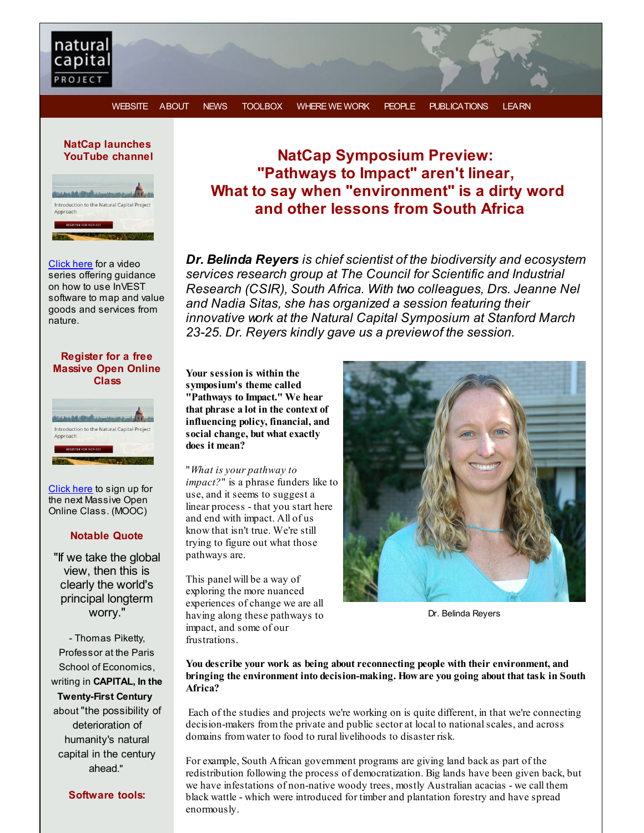

**NatCap launches YouTube channel**



[Click](http://r20.rs6.net/tn.jsp?f=001QSQH_6_fR7nEUXb5nNSYpmVwbCVi25NP2YciBDOioGL0CdLWVYrxLU2__KZ51EMugI3Gf4xX01I89X7BEBeq9cHJWBUGmj3QrtO1VC5QW3iQ5ruduroia0wVprAW0a-1PbQSomolHf8R5kxp5pCSC8xIQpqGyy-AMm6-tUFGvlYb-1Xe1T_02w46iXwTK98LqFrXugly4RdPAJkSGeOu7ahKpam2sQgP&c=&ch=) here for a video series offering guidance on how to use InVEST software to map and value goods and services from nature.

#### **Register for a free Massive Open Online Class**



[Click](http://r20.rs6.net/tn.jsp?f=001QSQH_6_fR7nEUXb5nNSYpmVwbCVi25NP2YciBDOioGL0CdLWVYrxLTPpo69NTPfarIDm6jGzUDNMSYVPNyPOUjbWPBO6Zgdyj__kv-YbCZ7JFhU2HURw_3u3wZ-B8GOmBnHZVZWtQs56YZztHSIk_DAmLukRFVuiXnpNq6ttoKvUrSyy4hGtOB7wj28GI_Q5he2bDcltM18of4V-zb7eHVNfErB5GVNRZuQXQwwsqJgOs5aUH4y6nMCf9HFzqCok9hpqYOAhpC36HP44qhzjcgfVU0hngHmU7K1P6P8GFsiWrEU109s-e2VX5jrU-82asmEQ039IPYrnII54xBTVDcQ3oiehrEHxT2W9ceqCG6IMS4qxvDKuEPq8Vk5ngc6kE5SdoZ6A5PI=&c=&ch=) here to sign up for the next Massive Open Online Class. (MOOC)

#### **Notable Quote**

"If we take the global view, then this is clearly the world's principal longterm worry."

- Thomas Piketty, Professor at the Paris School of Economics, writing in **CAPITAL, In the Twenty-First Century**

about "the possibility of deterioration of humanity's natural capital in the century ahead."

## **NatCap Symposium Preview: "Pathways to Impact" aren't linear, What to say when "environment" is a dirty word and other lessons from South Africa**

*Dr. Belinda Reyers is chief scientist of the biodiversity and ecosystem services research group at The Council for Scientific and Industrial Research (CSIR), South Africa. With two colleagues, Drs. Jeanne Nel and Nadia Sitas, she has organized a session featuring their innovative work at the Natural Capital Symposium at Stanford March 23-25. Dr. Reyers kindly gave us a previewof the session.*

**Your session is within the symposium's theme called "Pathways to Impact." We hear that phrase a lot in the context of influencing policy, financial, and social change, but what exactly does it mean?**

"*What is your pathway to impact?*" is a phrase funders like to use, and it seems to suggest a linear process - that you start here and end with impact. All of us know that isn't true. We're still trying to figure out what those pathways are.

This panel will be a way of exploring the more nuanced experiences of change we are all having along these pathways to impact, and some of our frustrations.



Dr. Belinda Reyers

**You describe your work as being about reconnecting people with their environment, and bringing the environment into decision-making. Howare you going about that task in South Africa?**

Each of the studies and projects we're working on is quite different, in that we're connecting decision-makers fromthe private and public sector at local to nationalscales, and across domains fromwater to food to rural livelihoods to disaster risk.

For example, South African government programs are giving land back as part of the redistribution following the process of democratization. Big lands have been given back, but we have infestations of non-native woody trees, mostly Australian acacias - we call them black wattle - which were introduced for timber and plantation forestry and have spread enormously.

**Software tools:**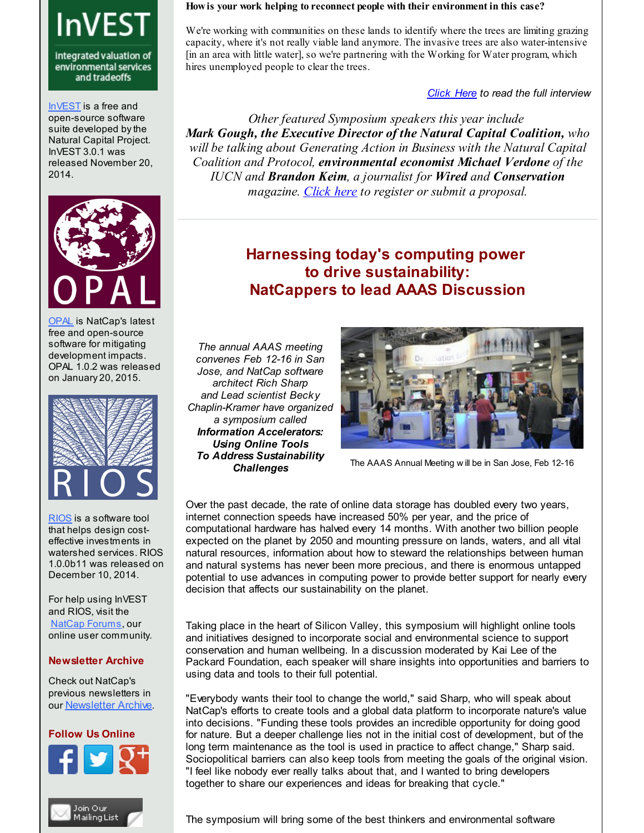# **InVEST**

integrated valuation of environmental services and tradeoffs

[InVEST](http://r20.rs6.net/tn.jsp?f=001QSQH_6_fR7nEUXb5nNSYpmVwbCVi25NP2YciBDOioGL0CdLWVYrxLUTtQjnxLSIDUO_ynG2Ok0SyVTYDaDFafXuIZBhEKbao09_ChYIWE5vPOmii6GKxkqv3AJcIu26b968ka5FfC2hyxW8FaM8x4jBVbR-vZV5j2pWmUWs6cGfQQJG6BuOYRKaQeskUFWGLAB3O4aIQ7Ui8RNAJWfF2SrOGIHHlsONICvcfcPp1H0gCCC6jCrP5g5l68HQFrIpcJ9v7NrFf1yZgCkWtvznon0UrwWw31Dp9cg3FoG3Q0qJ5aqz-33Acwv9PMsM7cM9YVB2pXCJHCtmeG-3_7ofqbw==&c=&ch=) is a free and open-source software suite developed by the Natural Capital Project. InVEST 3.0.1 was released November 20, 2014.



[OPAL](http://r20.rs6.net/tn.jsp?f=001QSQH_6_fR7nEUXb5nNSYpmVwbCVi25NP2YciBDOioGL0CdLWVYrxLXrawAa28PgtwjO5Nnq8GWyx09tPRdwssNr4Cv2XR-naFDvTXvfGTGyIc0kWOVmlchpovULDt7iiAHUDVl_9Xlu27utmrTNH6ffKnLm4QqVLrDTRnMMY9mCtKHqs5PrPqXQ3_RZudAK41oMfZCAInje1gryzLdXuVcp1PE0nwJz9qvFEDjlivp0tYiRO3Tl_HZG6O6HejijF_U5UTAoauM_41FPh4FVXC78-m-3CdRf2c3Ti7uNOTWYKuMiNt7amX39CFiMbMn_-RmnEYJzs4zvy6pLxVhjwaA==&c=&ch=) is NatCap's latest free and open-source software for mitigating development impacts. OPAL 1.0.2 was released on January 20, 2015.



[RIOS](http://r20.rs6.net/tn.jsp?f=001QSQH_6_fR7nEUXb5nNSYpmVwbCVi25NP2YciBDOioGL0CdLWVYrxLTPpo69NTPfaBKoHV-ZIrKj0Xq11_RXCRquFsOAS_rprZv0Abp2TifTIcKuRhEEOPHThvyYVSrcNd4z62vOhoJpOGwc5iGPL46v_lM05voKuH4dr9af_ltmOTwpVpJBTeHEJrnC6UUeJ0Jwzuvjp6gcpoXfdFVbtlkEtkwIbELggaV72xjkaBPPDoOI66-N8cIsKGaQRuddBXe7eC5L7Hh3NV4ldc9kMqTtS3yrezqrFJJ2ENyeGkNTcqK8FZkhloTg0F4MDiTV6iuZXFzYMQYNLwE5nyGBbKg==&c=&ch=) is a software tool that helps design costeffective investments in watershed services. RIOS 1.0.0b11 was released on December 10, 2014.

For help using InVEST and RIOS, visit the NatCap [Forums](http://r20.rs6.net/tn.jsp?f=001QSQH_6_fR7nEUXb5nNSYpmVwbCVi25NP2YciBDOioGL0CdLWVYrxLV46T1DIFjlgxXR9nYq8NjmHJeF8M3TWGar2QF_vrG-6m7A-srQ-53x2VVedOqUTusEU6TI-AseHeaoUc5feibfW4abHnH4q55Jpt54sRg1ans02cKsgBB_DxVS5-hRn1TvyKe6060G_eoE69zn2AeUhe6INz-JBMBoadUddDshn35DGXypYyCSuH256meOfcT0nFcfyKWgmbA4IQUcfuOSYX-pX5qc9SjTNZeb4oJvcU5rRDWfDqU4_g1tneuw2EIXLN83hrPEYM8XYSxPnioTQrpV20kIENQ==&c=&ch=), our online user community.

#### **Newsletter Archive**

Check out NatCap's previous newsletters in our [Newsletter](http://r20.rs6.net/tn.jsp?f=001QSQH_6_fR7nEUXb5nNSYpmVwbCVi25NP2YciBDOioGL0CdLWVYrxLaY84xOSH1kSxsLZ9nIYpyW1Me-TJYk-vrgkv1uwRXQBnS3snn3ujFcHkxq-i_sBVsKyM42eGxUyPNT9uqFNxXFuADwvsZccYZBRL2-QthJsHz4QU6WgST72fZDv-rvj-IEoq2h-ydliQtMKKTXQ8OUwAwponOUctj1X1S5L2GtZKaK-bieYJVCZ5LmREi_7Rj2L1Rt4JYyAKuIlF_5-BMYZ3F6xfPsv90S08s5qeKGr596JY1yBhX5cSYcwnt-nvSRHJutehFcBJbUHGEWyeEeq6_JObGNeAGeTcOkgj2s4_EmbwDyIOss=&c=&ch=) Archive.

# **Follow Us Online**





#### **Howis your work helping to reconnect people with their environment in this case?**

We're working with communities on these lands to identify where the trees are limiting grazing capacity, where it's not really viable land anymore. The invasive trees are also water-intensive [in an area with little water], so we're partnering with the Working for Water program, which hires unemployed people to clear the trees.

*[Click](http://r20.rs6.net/tn.jsp?f=001QSQH_6_fR7nEUXb5nNSYpmVwbCVi25NP2YciBDOioGL0CdLWVYrxLf_9eOC8ZLZB0Wa0WpfOGYPc3SiD59EJpHNS7PHQxtJzpgzVw4wWUedatC_Ar2JjbXzh4cmGx8m_5XaCRIy332lbwi3JRz9JRhXRl-kvhrv6SpfX9e1LxuGC3moF3xnwgvOB5Tzdv28h8AwNb-XoHK9JnCwwYgxJcZL3TtMdYisSKV-qDML5RdsSAj1uyQfk0wfJBoH8cUS6RM-mbtDHXBrrt9YLuUupSnOqbRID8PgWo8NkEpZE1SbfZaqWdIVBJ2tFvdcTUyMqaWaum1480c8rtJP2hyjdVESG88Hp1jE5WqBkQmt6BSA=&c=&ch=) Here to read the full interview*

*Other featured Symposium speakers this year include Mark Gough, the Executive Director of the Natural Capital Coalition, who will be talking about Generating Action in Business with the Natural Capital Coalition and Protocol, environmental economist Michael Verdone of the IUCN and Brandon Keim, a journalist for Wired and Conservation magazine. [Click](http://r20.rs6.net/tn.jsp?f=001QSQH_6_fR7nEUXb5nNSYpmVwbCVi25NP2YciBDOioGL0CdLWVYrxLU2__KZ51EMuRT6mw_XnJu8a_zK1UM21NNMuWjkQQikbnwTtt_eTuL9_NURUzCh2IwpAo42IunoCfXwEaTdF-gMLt2nBsE6m75jAWstl4lWPRwKgzfj_eVaRX7m6aB0SgIixUef3h7WeW5py6skmnbPhIr044WcTgHQo_5ZHMTyWB4MpxwSKnkj2qlAIwcUOtZBI-HX7tBQI4gB7iCQ2qr1XV_xZoHZlAzMflaWXmjFZnGxFY4y0unIFgAe-GF8ZH8VawTPgfECCFjJ6rfIBf5N3iQbFRE0ELU_ONsjBSPCeBAFL4ebeKb61P6TDhkM4sA==&c=&ch=) here to register or submit a proposal.*

## **Harnessing today's computing power to drive sustainability: NatCappers to lead AAAS Discussion**

*The annual AAAS meeting convenes Feb 12-16 in San Jose, and NatCap software architect Rich Sharp and Lead scientist Becky Chaplin-Kramer have organized a symposium called Information Accelerators: Using Online Tools To Address Sustainability Challenges*



The AAAS Annual Meeting w ill be in San Jose, Feb 12-16

Over the past decade, the rate of online data storage has doubled every two years, internet connection speeds have increased 50% per year, and the price of computational hardware has halved every 14 months. With another two billion people expected on the planet by 2050 and mounting pressure on lands, waters, and all vital natural resources, information about how to steward the relationships between human and natural systems has never been more precious, and there is enormous untapped potential to use advances in computing power to provide better support for nearly every decision that affects our sustainability on the planet.

Taking place in the heart of Silicon Valley, this symposium will highlight online tools and initiatives designed to incorporate social and environmental science to support conservation and human wellbeing. In a discussion moderated by Kai Lee of the Packard Foundation, each speaker will share insights into opportunities and barriers to using data and tools to their full potential.

"Everybody wants their tool to change the world," said Sharp, who will speak about NatCap's efforts to create tools and a global data platform to incorporate nature's value into decisions. "Funding these tools provides an incredible opportunity for doing good for nature. But a deeper challenge lies not in the initial cost of development, but of the long term maintenance as the tool is used in practice to affect change," Sharp said. Sociopolitical barriers can also keep tools from meeting the goals of the original vision. "I feel like nobody ever really talks about that, and I wanted to bring developers together to share our experiences and ideas for breaking that cycle."

The symposium will bring some of the best thinkers and environmental software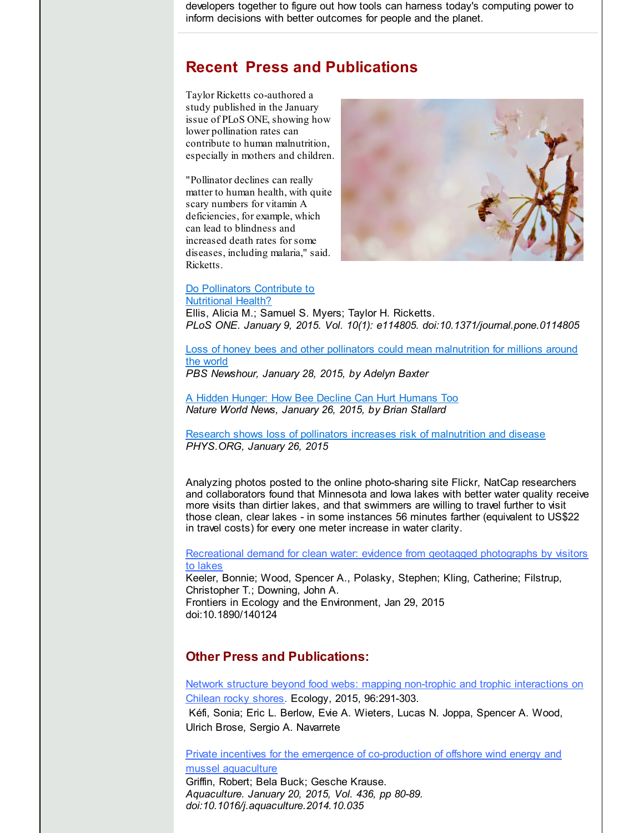developers together to figure out how tools can harness today's computing power to inform decisions with better outcomes for people and the planet.

## **Recent Press and Publications**

Taylor Ricketts co-authored a study published in the January issue of PLoS ONE, showing how lower pollination rates can contribute to human malnutrition, especially in mothers and children.

"Pollinator declines can really matter to human health, with quite scary numbers for vitamin A deficiencies, for example, which can lead to blindness and increased death rates for some diseases, including malaria," said. Ricketts.



#### Do [Pollinators](http://r20.rs6.net/tn.jsp?f=001QSQH_6_fR7nEUXb5nNSYpmVwbCVi25NP2YciBDOioGL0CdLWVYrxLQ9aWKfed1UpKO-_ecLezGLQy5D2_lQTu3EthCAVtiJKI3YTYxxXsyOjfcHv0s6vJ9NWHmp9YR3_6c-OhR13As7NNwB2NU2Sk06yLw8mVaXNiQ6kJO_UHByBaYEbLii6wUGLSEHV79rVFjFDXZS_Rg28RHiogAUi7VmtA1snw7jqTUA5UXGSEfMfUSmn1vDn_Qkth17vScO20RUhWJDOJdTpiSOK03qOz4dk6l94w6XomjZxlHox7q9p_kvQ4BNdtl7EFAU2jdjdt2obeIrYK1k-7ES6G1WdOVHzFCGcwGMziUwgsckJ8-9yMsat1kX1zbdjdpHVbA0T&c=&ch=) Contribute to Nutritional Health?

Ellis, Alicia M.; Samuel S. Myers; Taylor H. Ricketts. *PLoS ONE. January 9, 2015. Vol. 10(1): e114805. doi:10.1371/journal.pone.0114805*

Loss of honey bees and other pollinators could mean [malnutrition](http://r20.rs6.net/tn.jsp?f=001QSQH_6_fR7nEUXb5nNSYpmVwbCVi25NP2YciBDOioGL0CdLWVYrxLQ9aWKfed1UpG_PgZxdUb8RzSG2de3kpko5y65iLmygYxFbzBh7rXfbHFRwRxlUf2l85QXR7mUTbQ6xcDHqpt3VrEBtKvmWcLY7WhkDIVxHE8EZSNJfeKUaC48D1K5SN8vkn19R-X75lj76-XvK4Y82wrBpEtiq4oWtOCCeuyai_jtScPGtsU_4ii18QoDccepc4ABXFMl1EZVy-bEk18HDuz8WlCfnUdp-iCPwcnDOA4CMXcVvZ3_rwfqYQJfjSHyxCG9kHlSN1eH-siu3eOq6vV2lVVw9AfRTLiGHEadNKhppqOP2E_lZzkrk0xPAEsA4AT51RPP3LCCYzvNTZDcEOkvzr5jWQmr8i9yRrEudHXuIKn-v9UPE=&c=&ch=) for millions around the world

*PBS Newshour, January 28, 2015, by Adelyn Baxter*

A Hidden Hunger: How Bee Decline Can Hurt [Humans](http://r20.rs6.net/tn.jsp?f=001QSQH_6_fR7nEUXb5nNSYpmVwbCVi25NP2YciBDOioGL0CdLWVYrxLQ9aWKfed1UpGe-OEsBoXcJ37yX1NqNGyadaUbv-Q6wBX0tB1WnxsN9WInCL8BBrMUJfpImP67S1bhu2ikCDKRfFjbNby8G8UKeJqCnHIDslyUyoucP6HWHPwXkF5nfQQBI7UGCcvwS3MY9dUJqWeB-kk5iiTvupHR4DsPOU3DqCu3B60LNKovvc-8r7ohvB-nTeYDncEgI8ihzipu4ZyQeMssNpk_n6HyBA_TUr48mA9gpkDELYZRLvtF23-70OaILjjndkW49UrqoqSn9SX-LSNZJhIhrP5VYmi8o-sIqSHCX47dzHFOPES65RyEyZE_3hUW1Cz_eC1q7HhS7Ff2g2e6LJ1RIQdljFW3BVG943&c=&ch=) Too *Nature World News, January 26, 2015, by Brian Stallard*

Research shows loss of pollinators increases risk of [malnutrition](http://r20.rs6.net/tn.jsp?f=001QSQH_6_fR7nEUXb5nNSYpmVwbCVi25NP2YciBDOioGL0CdLWVYrxLQ9aWKfed1UpBYesUfljPjbXfX-Kh_fsx2ZSiJG_COEQDZ6HVaGz38Ug1ouVynLJR6AI3E_SNxmLTzbEPX9RNWPw2zTqMaud47gdKpc0rHvCOVcQ1sfzP1V-14Qx_mmyR3R_qvYSpCgTNmN4gSncs7nt06CDqtCyRaP9f02_lfRwspA9YW38DDaM3wWdLETt0MTZnT1ZNMYqpmXe8pDBRodQqokfkX--D68K5olfl3WfJUbwblGL_aV-Q6qDiWrDJTUpDjV30VoR9rFckqAdTUicRD44p0RuEkk_FelRxRZaQ2jWdMeiw1CRZ7GVUTMljw==&c=&ch=) and disease *PHYS.ORG, January 26, 2015*

Analyzing photos posted to the online photo-sharing site Flickr, NatCap researchers and collaborators found that Minnesota and Iowa lakes with better water quality receive more visits than dirtier lakes, and that swimmers are willing to travel further to visit those clean, clear lakes - in some instances 56 minutes farther (equivalent to US\$22 in travel costs) for every one meter increase in water clarity.

[Recreational](http://r20.rs6.net/tn.jsp?f=001QSQH_6_fR7nEUXb5nNSYpmVwbCVi25NP2YciBDOioGL0CdLWVYrxLU2__KZ51EMuc_tCZJtTNylpmq-gagKfpTsjLtDPXOi67svsP4YRxa19iVRdwjVXtPOlp3kDCvTWwO-TS2q92qeL0C1zrwsBrYkqr5ilMKDAcix-01dMC5ki9bFHbT1gIFpn-uAKrsRPlWFioT0Kn3oUUu2EoBLs1dZ-1uD8KwFA-Mo85HIEl7LD6QnUSP7ii23KAba3utscQOwEcM0kssNn-jSupp3bLzUszu1Z-X0XqOfGC7aZEqsPvEtouOiPeo-26aWXPJND8FXm4eCtAsXxA8OpbrLIamCMhcuN2rZO&c=&ch=) demand for clean water: evidence from geotagged photographs by visitors to lakes Keeler, Bonnie; Wood, Spencer A., Polasky, Stephen; Kling, Catherine; Filstrup, Christopher T.; Downing, John A.

Frontiers in Ecology and the Environment, Jan 29, 2015 doi:10.1890/140124

### **Other Press and Publications:**

Network structure beyond food webs: mapping non-trophic and trophic [interactions](http://r20.rs6.net/tn.jsp?f=001QSQH_6_fR7nEUXb5nNSYpmVwbCVi25NP2YciBDOioGL0CdLWVYrxLU2__KZ51EMuATFOVzUqDMUPS7ngAZu6gr4P4Lj3-s8nP6tjC0scaA7dCZH1bBPlo_9GBfmvfRRTgY20Sr5Ebp_OSsi0uHkZBNrd4d7HCYzD9edFVJfQGAFwAEzw7bEcEhK08ve9Hma8pSboV_J0G-wqaWkJzyreaRkqTAF--sqtdFxgpAD6y5AAoHXuvEFnrEd0sK4FjWS-MCCGcik-73vWz_MsvyzivQoAY9qH3bkMhfQwmGCvIRqSGdIouWCyTw909rUl_oXfb2XHbUeYGVs=&c=&ch=) on Chilean rocky shores. Ecology, 2015, 96:291-303.

Kéfi, Sonia; Eric L. Berlow, Evie A. Wieters, Lucas N. Joppa, Spencer A. Wood, Ulrich Brose, Sergio A. Navarrete

Private incentives for the emergence of [co-production](http://r20.rs6.net/tn.jsp?f=001QSQH_6_fR7nEUXb5nNSYpmVwbCVi25NP2YciBDOioGL0CdLWVYrxLZLpw7l3PO2CzD-gdNRZLTxkF3FCHpb6kMKb9EoeTPF_-4nRhnJjWfAAl9XLtJ_VAaNsQLDSkWsD8QxrFiUWlA_AHlGyVBJzeJIOCQ0kpMJt5DYH0GfNLT4Sweld9UCf2aoQMgcH9hy9osxUEj5FoBO48ytYQxUQgqsURpYJTQ9VVxTv_PWUfJuVklKTBdc-yRiFT-aGPHQr2ju-8AJ5EPInWXgDn-x9zMwidb8FH7_SlNjgFFZnbnpYb6fHZu_hExA4uDAVUDXPkJsLMRUxp2iRxD5SARqX9YIqlcqbol0JPiegfsy_fXX6RO6ac9MC_A==&c=&ch=) of offshore wind energy and mussel aquaculture Griffin, Robert; Bela Buck; Gesche Krause.

*Aquaculture. January 20, 2015, Vol. 436, pp 80-89. doi:10.1016/j.aquaculture.2014.10.035*